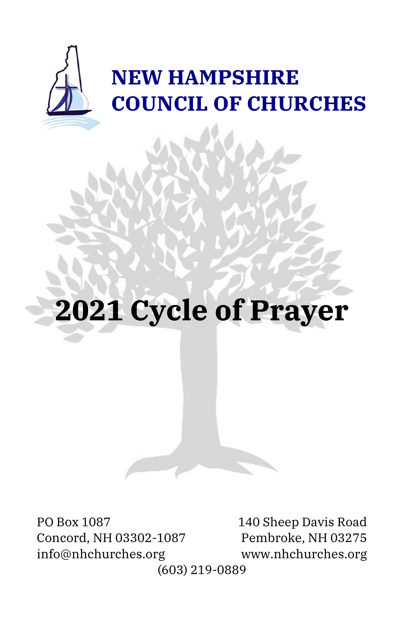

# **2021 Cycle of Prayer**

PO Box 1087 140 Sheep Davis Road Concord, NH 03302-1087 Pembroke, NH 03275 info@nhchurches.org www.nhchurches.org

(603) 219-0889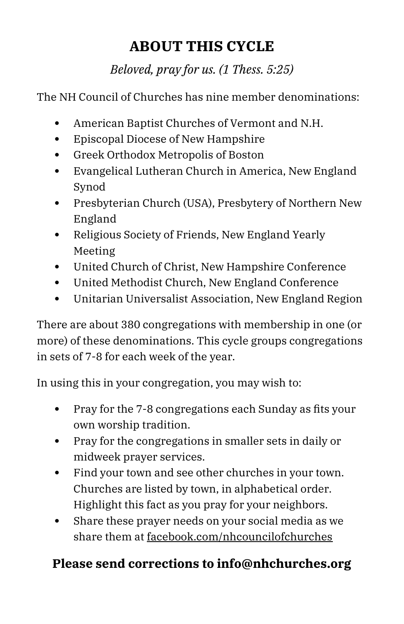# **ABOUT THIS CYCLE**

*Beloved, pray for us. (1 Thess. 5:25)*

The NH Council of Churches has nine member denominations:

- American Baptist Churches of Vermont and N.H.
- Episcopal Diocese of New Hampshire
- Greek Orthodox Metropolis of Boston
- Evangelical Lutheran Church in America, New England Synod
- Presbyterian Church (USA), Presbytery of Northern New England
- Religious Society of Friends, New England Yearly Meeting
- United Church of Christ, New Hampshire Conference
- United Methodist Church, New England Conference
- Unitarian Universalist Association, New England Region

There are about 380 congregations with membership in one (or more) of these denominations. This cycle groups congregations in sets of 7-8 for each week of the year.

In using this in your congregation, you may wish to:

- Pray for the 7-8 congregations each Sunday as fits your own worship tradition.
- Pray for the congregations in smaller sets in daily or midweek prayer services.
- Find your town and see other churches in your town. Churches are listed by town, in alphabetical order. Highlight this fact as you pray for your neighbors.
- Share these prayer needs on your social media as we share them at facebook.com/nhcouncilofchurches

#### **Please send corrections to info@nhchurches.org**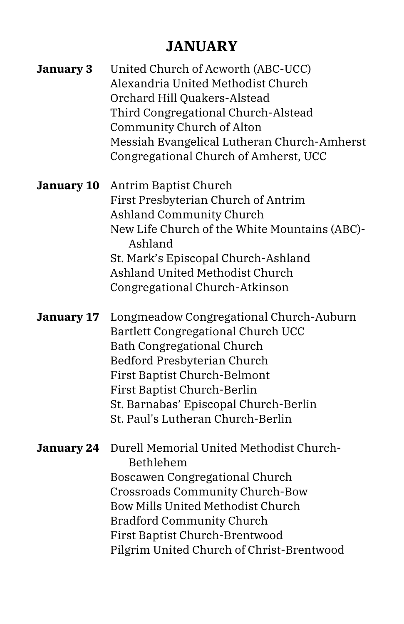# **JANUARY**

| January 3         | United Church of Acworth (ABC-UCC)<br>Alexandria United Methodist Church<br>Orchard Hill Quakers-Alstead<br>Third Congregational Church-Alstead<br>Community Church of Alton<br>Messiah Evangelical Lutheran Church-Amherst<br>Congregational Church of Amherst, UCC                             |
|-------------------|--------------------------------------------------------------------------------------------------------------------------------------------------------------------------------------------------------------------------------------------------------------------------------------------------|
| <b>January 10</b> | Antrim Baptist Church<br>First Presbyterian Church of Antrim<br><b>Ashland Community Church</b><br>New Life Church of the White Mountains (ABC)-<br>Ashland<br>St. Mark's Episcopal Church-Ashland<br>Ashland United Methodist Church<br>Congregational Church-Atkinson                          |
| January 17        | Longmeadow Congregational Church-Auburn<br>Bartlett Congregational Church UCC<br><b>Bath Congregational Church</b><br>Bedford Presbyterian Church<br>First Baptist Church-Belmont<br>First Baptist Church-Berlin<br>St. Barnabas' Episcopal Church-Berlin<br>St. Paul's Lutheran Church-Berlin   |
| January 24        | Durell Memorial United Methodist Church-<br>Bethlehem<br>Boscawen Congregational Church<br><b>Crossroads Community Church-Bow</b><br><b>Bow Mills United Methodist Church</b><br><b>Bradford Community Church</b><br>First Baptist Church-Brentwood<br>Pilgrim United Church of Christ-Brentwood |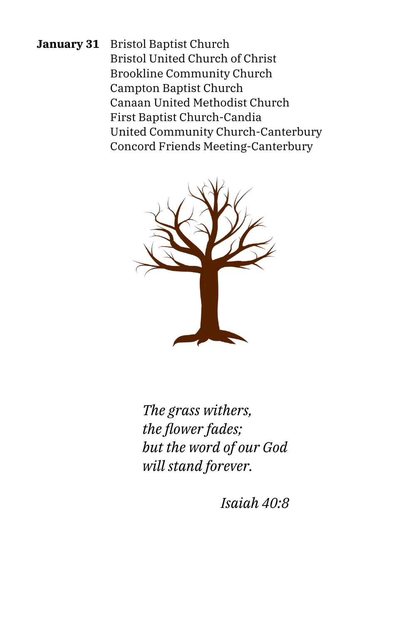**January 31** Bristol Baptist Church Bristol United Church of Christ Brookline Community Church Campton Baptist Church Canaan United Methodist Church First Baptist Church-Candia United Community Church-Canterbury Concord Friends Meeting-Canterbury



*The grass withers, the flower fades; but the word of our God will stand forever.*

*Isaiah 40:8*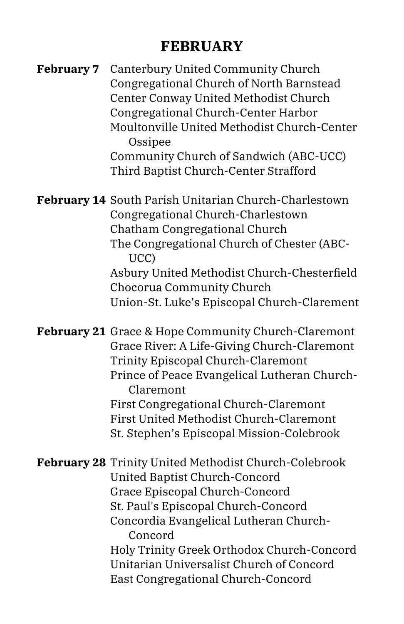#### **FEBRUARY**

| Canterbury United Community Church<br>Congregational Church of North Barnstead<br>Center Conway United Methodist Church<br>Congregational Church-Center Harbor<br>Moultonville United Methodist Church-Center<br>Ossipee<br>Community Church of Sandwich (ABC-UCC)<br>Third Baptist Church-Center Strafford |
|-------------------------------------------------------------------------------------------------------------------------------------------------------------------------------------------------------------------------------------------------------------------------------------------------------------|
| <b>February 14 South Parish Unitarian Church-Charlestown</b><br>Congregational Church-Charlestown<br>Chatham Congregational Church<br>The Congregational Church of Chester (ABC-                                                                                                                            |
| UCC)<br>Asbury United Methodist Church-Chesterfield<br>Chocorua Community Church<br>Union-St. Luke's Episcopal Church-Clarement                                                                                                                                                                             |
| <b>February 21</b> Grace & Hope Community Church-Claremont<br>Grace River: A Life-Giving Church-Claremont<br>Trinity Episcopal Church-Claremont<br>Prince of Peace Evangelical Lutheran Church-<br>Claremont<br>First Congregational Church-Claremont                                                       |
|                                                                                                                                                                                                                                                                                                             |

: Congregational Church-Claremont First United Methodist Church-Claremont St. Stephen's Episcopal Mission-Colebrook

**February 28** Trinity United Methodist Church-Colebrook United Baptist Church-Concord Grace Episcopal Church-Concord St. Paul's Episcopal Church-Concord Concordia Evangelical Lutheran Church-Concord Holy Trinity Greek Orthodox Church-Concord Unitarian Universalist Church of Concord East Congregational Church-Concord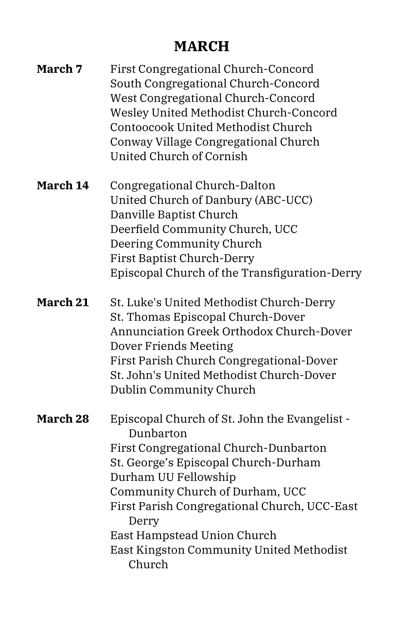# **MARCH**

| March 7  | First Congregational Church-Concord<br>South Congregational Church-Concord<br>West Congregational Church-Concord<br>Wesley United Methodist Church-Concord<br>Contoocook United Methodist Church<br>Conway Village Congregational Church<br>United Church of Cornish                                                                                 |
|----------|------------------------------------------------------------------------------------------------------------------------------------------------------------------------------------------------------------------------------------------------------------------------------------------------------------------------------------------------------|
| March 14 | Congregational Church-Dalton<br>United Church of Danbury (ABC-UCC)<br>Danville Baptist Church<br>Deerfield Community Church, UCC<br>Deering Community Church<br><b>First Baptist Church-Derry</b><br>Episcopal Church of the Transfiguration-Derry                                                                                                   |
| March 21 | St. Luke's United Methodist Church-Derry<br>St. Thomas Episcopal Church-Dover<br>Annunciation Greek Orthodox Church-Dover<br>Dover Friends Meeting<br>First Parish Church Congregational-Dover<br>St. John's United Methodist Church-Dover<br>Dublin Community Church                                                                                |
| March 28 | Episcopal Church of St. John the Evangelist -<br>Dunbarton<br>First Congregational Church-Dunbarton<br>St. George's Episcopal Church-Durham<br>Durham UU Fellowship<br>Community Church of Durham, UCC<br>First Parish Congregational Church, UCC-East<br>Derry<br>East Hampstead Union Church<br>East Kingston Community United Methodist<br>Church |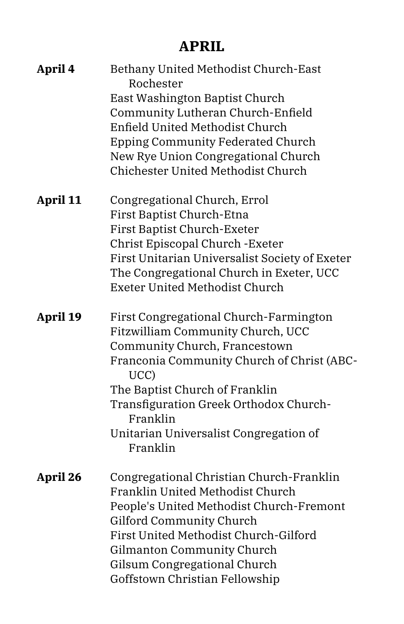#### **APRIL**

| April 4  | Bethany United Methodist Church-East<br>Rochester<br>East Washington Baptist Church<br>Community Lutheran Church-Enfield<br>Enfield United Methodist Church<br>Epping Community Federated Church<br>New Rye Union Congregational Church<br>Chichester United Methodist Church                                    |
|----------|------------------------------------------------------------------------------------------------------------------------------------------------------------------------------------------------------------------------------------------------------------------------------------------------------------------|
| April 11 | Congregational Church, Errol<br>First Baptist Church-Etna<br><b>First Baptist Church-Exeter</b><br>Christ Episcopal Church - Exeter<br>First Unitarian Universalist Society of Exeter<br>The Congregational Church in Exeter, UCC<br><b>Exeter United Methodist Church</b>                                       |
| April 19 | First Congregational Church-Farmington<br>Fitzwilliam Community Church, UCC<br>Community Church, Francestown<br>Franconia Community Church of Christ (ABC-<br>UCC)<br>The Baptist Church of Franklin<br>Transfiguration Greek Orthodox Church-<br>Franklin<br>Unitarian Universalist Congregation of<br>Franklin |
| April 26 | Congregational Christian Church-Franklin<br>Franklin United Methodist Church<br>People's United Methodist Church-Fremont<br>Gilford Community Church<br>First United Methodist Church-Gilford<br>Gilmanton Community Church<br>Gilsum Congregational Church<br>Goffstown Christian Fellowship                    |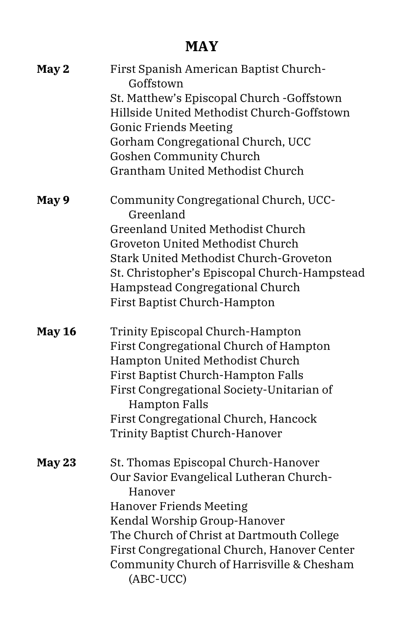#### **MAY**

| May 2         | First Spanish American Baptist Church-<br>Goffstown                                      |
|---------------|------------------------------------------------------------------------------------------|
|               | St. Matthew's Episcopal Church - Goffstown                                               |
|               | Hillside United Methodist Church-Goffstown                                               |
|               | <b>Gonic Friends Meeting</b>                                                             |
|               | Gorham Congregational Church, UCC                                                        |
|               | <b>Goshen Community Church</b>                                                           |
|               | <b>Grantham United Methodist Church</b>                                                  |
|               |                                                                                          |
| May 9         | Community Congregational Church, UCC-<br>Greenland                                       |
|               | <b>Greenland United Methodist Church</b>                                                 |
|               | Groveton United Methodist Church                                                         |
|               | Stark United Methodist Church-Groveton                                                   |
|               | St. Christopher's Episcopal Church-Hampstead                                             |
|               | Hampstead Congregational Church                                                          |
|               | <b>First Baptist Church-Hampton</b>                                                      |
|               |                                                                                          |
| <b>May 16</b> | Trinity Episcopal Church-Hampton                                                         |
|               | First Congregational Church of Hampton                                                   |
|               | Hampton United Methodist Church                                                          |
|               | First Baptist Church-Hampton Falls                                                       |
|               | First Congregational Society-Unitarian of                                                |
|               | <b>Hampton Falls</b>                                                                     |
|               | First Congregational Church, Hancock                                                     |
|               | <b>Trinity Baptist Church-Hanover</b>                                                    |
|               |                                                                                          |
|               |                                                                                          |
|               |                                                                                          |
| May 23        | St. Thomas Episcopal Church-Hanover                                                      |
|               | Our Savior Evangelical Lutheran Church-<br>Hanover                                       |
|               |                                                                                          |
|               | <b>Hanover Friends Meeting</b>                                                           |
|               | Kendal Worship Group-Hanover                                                             |
|               | The Church of Christ at Dartmouth College                                                |
|               | First Congregational Church, Hanover Center<br>Community Church of Harrisville & Chesham |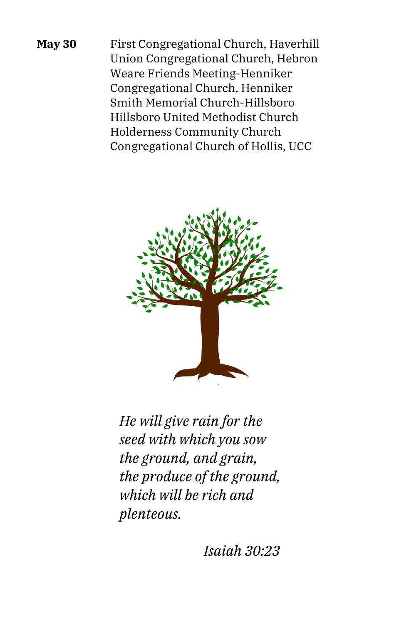**May 30** First Congregational Church, Haverhill Union Congregational Church, Hebron Weare Friends Meeting-Henniker Congregational Church, Henniker Smith Memorial Church-Hillsboro Hillsboro United Methodist Church Holderness Community Church Congregational Church of Hollis, UCC



*He will give rain for the seed with which you sow the ground, and grain, the produce of the ground, which will be rich and plenteous.*

*Isaiah 30:23*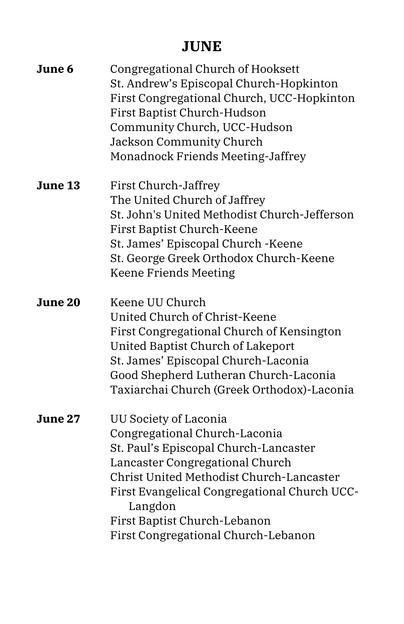#### **JUNE**

| June 6  | Congregational Church of Hooksett<br>St. Andrew's Episcopal Church-Hopkinton<br>First Congregational Church, UCC-Hopkinton<br>First Baptist Church-Hudson<br>Community Church, UCC-Hudson<br><b>Jackson Community Church</b><br>Monadnock Friends Meeting-Jaffrey                                                |
|---------|------------------------------------------------------------------------------------------------------------------------------------------------------------------------------------------------------------------------------------------------------------------------------------------------------------------|
| June 13 | First Church-Jaffrey<br>The United Church of Jaffrey<br>St. John's United Methodist Church-Jefferson<br>First Baptist Church-Keene<br>St. James' Episcopal Church - Keene<br>St. George Greek Orthodox Church-Keene<br><b>Keene Friends Meeting</b>                                                              |
| June 20 | Keene UU Church<br>United Church of Christ-Keene<br>First Congregational Church of Kensington<br>United Baptist Church of Lakeport<br>St. James' Episcopal Church-Laconia<br>Good Shepherd Lutheran Church-Laconia<br>Taxiarchai Church (Greek Orthodox)-Laconia                                                 |
| June 27 | UU Society of Laconia<br>Congregational Church-Laconia<br>St. Paul's Episcopal Church-Lancaster<br>Lancaster Congregational Church<br>Christ United Methodist Church-Lancaster<br>First Evangelical Congregational Church UCC-<br>Langdon<br>First Baptist Church-Lebanon<br>First Congregational Church-Lebanon |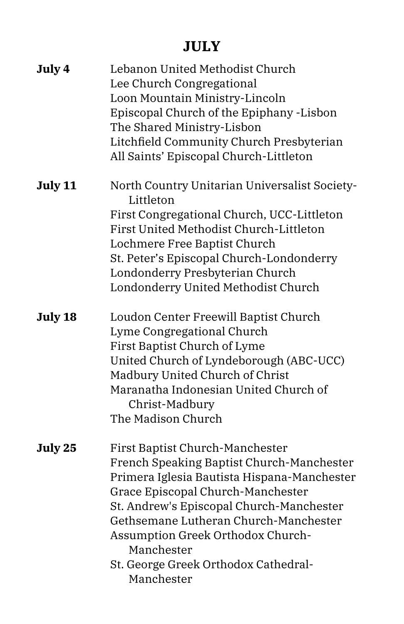# **JULY**

| July 4  | Lebanon United Methodist Church<br>Lee Church Congregational<br>Loon Mountain Ministry-Lincoln<br>Episcopal Church of the Epiphany -Lisbon<br>The Shared Ministry-Lisbon<br>Litchfield Community Church Presbyterian<br>All Saints' Episcopal Church-Littleton                                                                                                 |
|---------|----------------------------------------------------------------------------------------------------------------------------------------------------------------------------------------------------------------------------------------------------------------------------------------------------------------------------------------------------------------|
| July 11 | North Country Unitarian Universalist Society-<br>Littleton<br>First Congregational Church, UCC-Littleton<br>First United Methodist Church-Littleton<br>Lochmere Free Baptist Church<br>St. Peter's Episcopal Church-Londonderry<br>Londonderry Presbyterian Church<br>Londonderry United Methodist Church                                                      |
| July 18 | Loudon Center Freewill Baptist Church<br>Lyme Congregational Church<br>First Baptist Church of Lyme<br>United Church of Lyndeborough (ABC-UCC)<br>Madbury United Church of Christ<br>Maranatha Indonesian United Church of<br>Christ-Madbury<br>The Madison Church                                                                                             |
| July 25 | First Baptist Church-Manchester<br>French Speaking Baptist Church-Manchester<br>Primera Iglesia Bautista Hispana-Manchester<br>Grace Episcopal Church-Manchester<br>St. Andrew's Episcopal Church-Manchester<br>Gethsemane Lutheran Church-Manchester<br>Assumption Greek Orthodox Church-<br>Manchester<br>St. George Greek Orthodox Cathedral-<br>Manchester |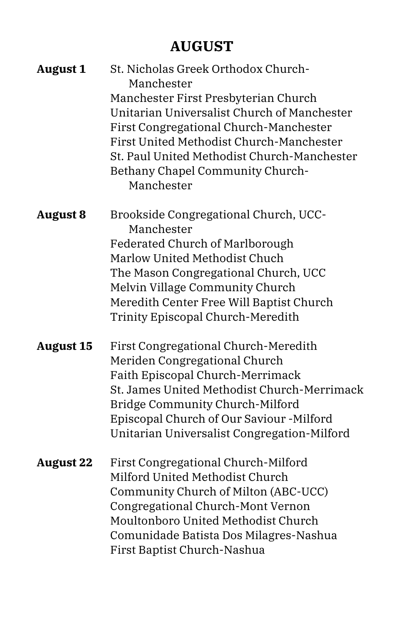# **AUGUST**

| <b>August 1</b>  | St. Nicholas Greek Orthodox Church-<br>Manchester<br>Manchester First Presbyterian Church<br>Unitarian Universalist Church of Manchester<br>First Congregational Church-Manchester<br>First United Methodist Church-Manchester<br>St. Paul United Methodist Church-Manchester<br>Bethany Chapel Community Church-<br>Manchester |
|------------------|---------------------------------------------------------------------------------------------------------------------------------------------------------------------------------------------------------------------------------------------------------------------------------------------------------------------------------|
| <b>August 8</b>  | Brookside Congregational Church, UCC-<br>Manchester<br><b>Federated Church of Marlborough</b><br>Marlow United Methodist Chuch<br>The Mason Congregational Church, UCC<br>Melvin Village Community Church<br>Meredith Center Free Will Baptist Church<br>Trinity Episcopal Church-Meredith                                      |
| <b>August 15</b> | First Congregational Church-Meredith<br>Meriden Congregational Church<br>Faith Episcopal Church-Merrimack<br>St. James United Methodist Church-Merrimack<br>Bridge Community Church-Milford<br>Episcopal Church of Our Saviour -Milford<br>Unitarian Universalist Congregation-Milford                                          |
| <b>August 22</b> | First Congregational Church-Milford<br>Milford United Methodist Church<br>Community Church of Milton (ABC-UCC)<br>Congregational Church-Mont Vernon<br>Moultonboro United Methodist Church<br>Comunidade Batista Dos Milagres-Nashua<br>First Baptist Church-Nashua                                                             |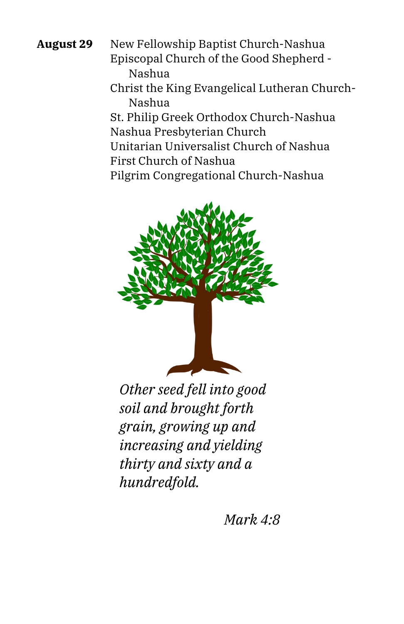**August 29** New Fellowship Baptist Church-Nashua Episcopal Church of the Good Shepherd - Nashua

> Christ the King Evangelical Lutheran Church-Nashua

St. Philip Greek Orthodox Church-Nashua Nashua Presbyterian Church

Unitarian Universalist Church of Nashua First Church of Nashua

Pilgrim Congregational Church-Nashua



*Other seed fell into good soil and brought forth grain, growing up and increasing and yielding thirty and sixty and a hundredfold.*

*Mark 4:8*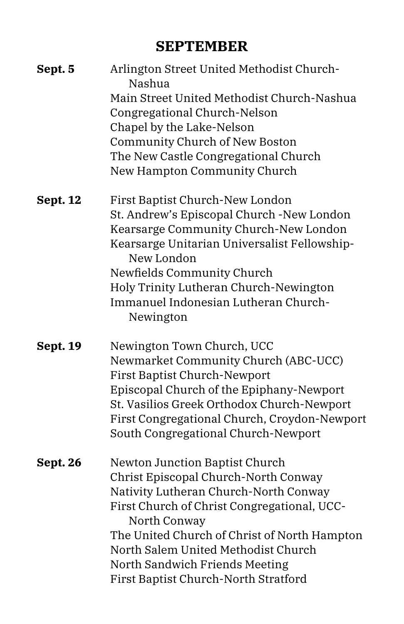#### **SEPTEMBER**

| Sept. 5         | Arlington Street United Methodist Church-<br>Nashua |
|-----------------|-----------------------------------------------------|
|                 | Main Street United Methodist Church-Nashua          |
|                 | Congregational Church-Nelson                        |
|                 | Chapel by the Lake-Nelson                           |
|                 | Community Church of New Boston                      |
|                 | The New Castle Congregational Church                |
|                 | New Hampton Community Church                        |
| <b>Sept. 12</b> | First Baptist Church-New London                     |
|                 | St. Andrew's Episcopal Church -New London           |
|                 | Kearsarge Community Church-New London               |
|                 | Kearsarge Unitarian Universalist Fellowship-        |
|                 | New London                                          |
|                 | Newfields Community Church                          |
|                 | Holy Trinity Lutheran Church-Newington              |
|                 | Immanuel Indonesian Lutheran Church-                |
|                 | Newington                                           |
| <b>Sept. 19</b> | Newington Town Church, UCC                          |
|                 | Newmarket Community Church (ABC-UCC)                |
|                 | <b>First Baptist Church-Newport</b>                 |
|                 | Episcopal Church of the Epiphany-Newport            |
|                 | St. Vasilios Greek Orthodox Church-Newport          |
|                 | First Congregational Church, Croydon-Newport        |
|                 | South Congregational Church-Newport                 |
| Sept. 26        | Newton Junction Baptist Church                      |
|                 | Christ Episcopal Church-North Conway                |
|                 | Nativity Lutheran Church-North Conway               |
|                 | First Church of Christ Congregational, UCC-         |
|                 | North Conway                                        |
|                 | The United Church of Christ of North Hampton        |
|                 | North Salem United Methodist Church                 |
|                 | North Sandwich Friends Meeting                      |
|                 | First Baptist Church-North Stratford                |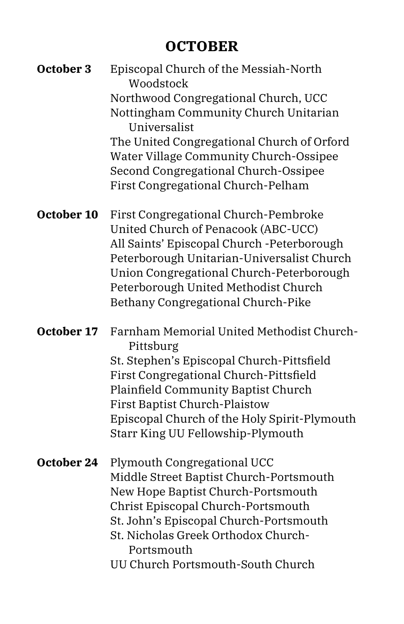### **OCTOBER**

| October 3  | Episcopal Church of the Messiah-North<br>Woodstock<br>Northwood Congregational Church, UCC<br>Nottingham Community Church Unitarian<br>Universalist<br>The United Congregational Church of Orford<br>Water Village Community Church-Ossipee<br>Second Congregational Church-Ossipee<br>First Congregational Church-Pelham |
|------------|---------------------------------------------------------------------------------------------------------------------------------------------------------------------------------------------------------------------------------------------------------------------------------------------------------------------------|
| October 10 | First Congregational Church-Pembroke<br>United Church of Penacook (ABC-UCC)<br>All Saints' Episcopal Church -Peterborough<br>Peterborough Unitarian-Universalist Church<br>Union Congregational Church-Peterborough<br>Peterborough United Methodist Church<br>Bethany Congregational Church-Pike                         |
| October 17 | Farnham Memorial United Methodist Church-<br>Pittsburg<br>St. Stephen's Episcopal Church-Pittsfield<br>First Congregational Church-Pittsfield<br>Plainfield Community Baptist Church<br><b>First Baptist Church-Plaistow</b><br>Episcopal Church of the Holy Spirit-Plymouth<br>Starr King UU Fellowship-Plymouth         |
| October 24 | Plymouth Congregational UCC<br>Middle Street Baptist Church-Portsmouth<br>New Hope Baptist Church-Portsmouth<br>Christ Episcopal Church-Portsmouth<br>St. John's Episcopal Church-Portsmouth<br>St. Nicholas Greek Orthodox Church-<br>Portsmouth<br>UU Church Portsmouth-South Church                                    |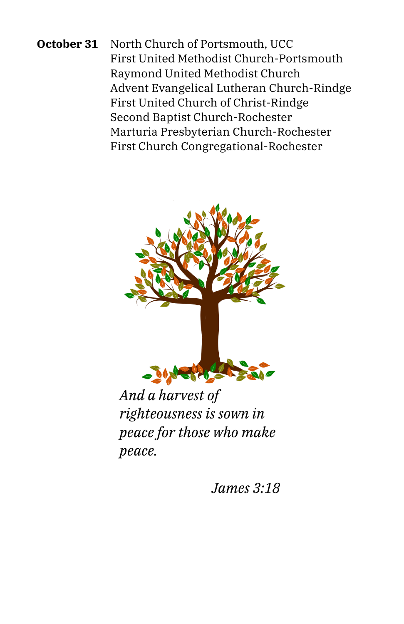**October 31** North Church of Portsmouth, UCC First United Methodist Church-Portsmouth Raymond United Methodist Church Advent Evangelical Lutheran Church-Rindge First United Church of Christ-Rindge Second Baptist Church-Rochester Marturia Presbyterian Church-Rochester First Church Congregational-Rochester



*And a harvest of righteousness is sown in peace for those who make peace.*

*James 3:18*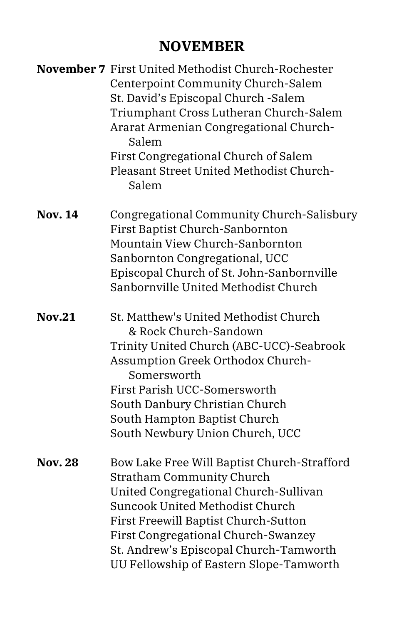#### **NOVEMBER**

|                | November 7 First United Methodist Church-Rochester<br>Centerpoint Community Church-Salem<br>St. David's Episcopal Church - Salem<br>Triumphant Cross Lutheran Church-Salem<br>Ararat Armenian Congregational Church-<br>Salem<br>First Congregational Church of Salem<br>Pleasant Street United Methodist Church-<br>Salem      |
|----------------|---------------------------------------------------------------------------------------------------------------------------------------------------------------------------------------------------------------------------------------------------------------------------------------------------------------------------------|
| <b>Nov. 14</b> | Congregational Community Church-Salisbury<br>First Baptist Church-Sanbornton<br>Mountain View Church-Sanbornton<br>Sanbornton Congregational, UCC<br>Episcopal Church of St. John-Sanbornville<br>Sanbornville United Methodist Church                                                                                          |
| <b>Nov.21</b>  | St. Matthew's United Methodist Church<br>& Rock Church-Sandown<br>Trinity United Church (ABC-UCC)-Seabrook<br>Assumption Greek Orthodox Church-<br>Somersworth<br>First Parish UCC-Somersworth<br>South Danbury Christian Church<br>South Hampton Baptist Church<br>South Newbury Union Church, UCC                             |
| <b>Nov. 28</b> | Bow Lake Free Will Baptist Church-Strafford<br><b>Stratham Community Church</b><br>United Congregational Church-Sullivan<br>Suncook United Methodist Church<br>First Freewill Baptist Church-Sutton<br>First Congregational Church-Swanzey<br>St. Andrew's Episcopal Church-Tamworth<br>UU Fellowship of Eastern Slope-Tamworth |